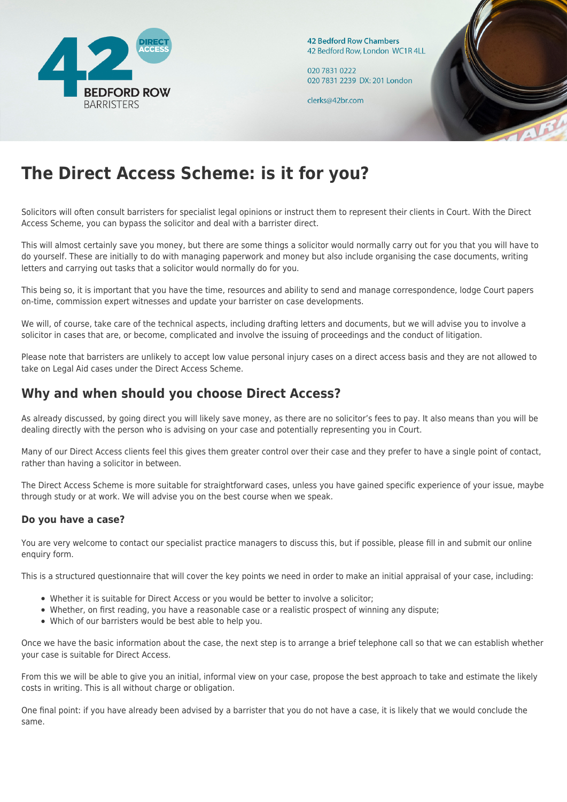

**42 Bedford Row Chambers** 42 Bedford Row, London WC1R 4LL

020 7831 0222 020 7831 2239 DX: 201 London

clerks@42br.com



# **The Direct Access Scheme: is it for you?**

Solicitors will often consult barristers for specialist legal opinions or instruct them to represent their clients in Court. With the Direct Access Scheme, you can bypass the solicitor and deal with a barrister direct.

This will almost certainly save you money, but there are some things a solicitor would normally carry out for you that you will have to do yourself. These are initially to do with managing paperwork and money but also include organising the case documents, writing letters and carrying out tasks that a solicitor would normally do for you.

This being so, it is important that you have the time, resources and ability to send and manage correspondence, lodge Court papers on-time, commission expert witnesses and update your barrister on case developments.

We will, of course, take care of the technical aspects, including drafting letters and documents, but we will advise you to involve a solicitor in cases that are, or become, complicated and involve the issuing of proceedings and the conduct of litigation.

Please note that barristers are unlikely to accept low value personal injury cases on a direct access basis and they are not allowed to take on Legal Aid cases under the Direct Access Scheme.

# **Why and when should you choose Direct Access?**

As already discussed, by going direct you will likely save money, as there are no solicitor's fees to pay. It also means than you will be dealing directly with the person who is advising on your case and potentially representing you in Court.

Many of our Direct Access clients feel this gives them greater control over their case and they prefer to have a single point of contact, rather than having a solicitor in between.

The Direct Access Scheme is more suitable for straightforward cases, unless you have gained specific experience of your issue, maybe through study or at work. We will advise you on the best course when we speak.

## **Do you have a case?**

You are very welcome to contact our specialist practice managers to discuss this, but if possible, please fill in and submit our online enquiry form.

This is a structured questionnaire that will cover the key points we need in order to make an initial appraisal of your case, including:

- Whether it is suitable for Direct Access or you would be better to involve a solicitor;
- Whether, on first reading, you have a reasonable case or a realistic prospect of winning any dispute;
- Which of our barristers would be best able to help you.

Once we have the basic information about the case, the next step is to arrange a brief telephone call so that we can establish whether your case is suitable for Direct Access.

From this we will be able to give you an initial, informal view on your case, propose the best approach to take and estimate the likely costs in writing. This is all without charge or obligation.

One final point: if you have already been advised by a barrister that you do not have a case, it is likely that we would conclude the same.